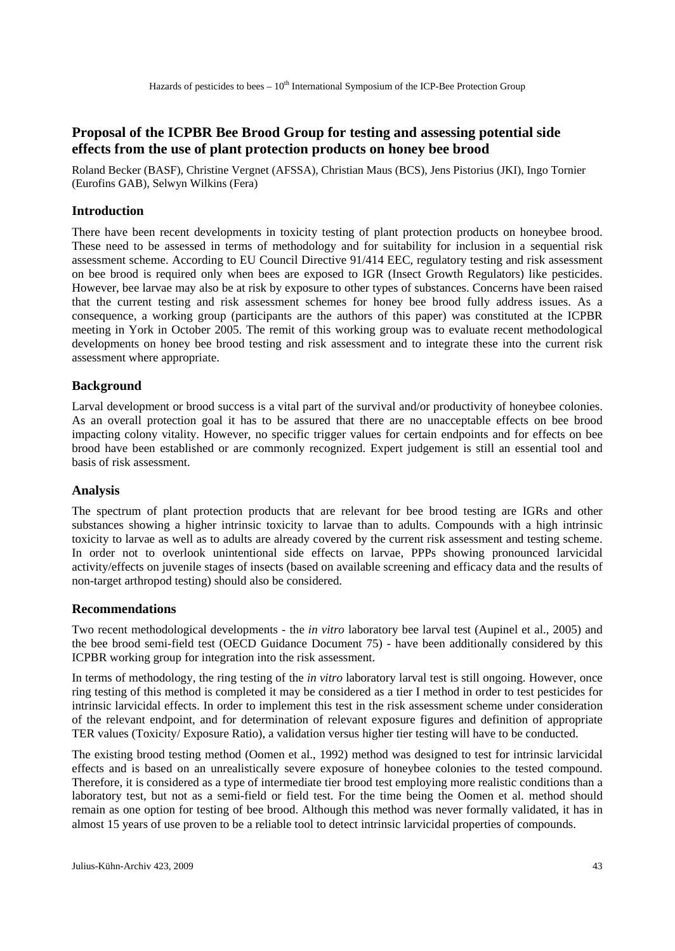# **Proposal of the ICPBR Bee Brood Group for testing and assessing potential side effects from the use of plant protection products on honey bee brood**

Roland Becker (BASF), Christine Vergnet (AFSSA), Christian Maus (BCS), Jens Pistorius (JKI), Ingo Tornier (Eurofins GAB), Selwyn Wilkins (Fera)

## **Introduction**

There have been recent developments in toxicity testing of plant protection products on honeybee brood. These need to be assessed in terms of methodology and for suitability for inclusion in a sequential risk assessment scheme. According to EU Council Directive 91/414 EEC, regulatory testing and risk assessment on bee brood is required only when bees are exposed to IGR (Insect Growth Regulators) like pesticides. However, bee larvae may also be at risk by exposure to other types of substances. Concerns have been raised that the current testing and risk assessment schemes for honey bee brood fully address issues. As a consequence, a working group (participants are the authors of this paper) was constituted at the ICPBR meeting in York in October 2005. The remit of this working group was to evaluate recent methodological developments on honey bee brood testing and risk assessment and to integrate these into the current risk assessment where appropriate.

## **Background**

Larval development or brood success is a vital part of the survival and/or productivity of honeybee colonies. As an overall protection goal it has to be assured that there are no unacceptable effects on bee brood impacting colony vitality. However, no specific trigger values for certain endpoints and for effects on bee brood have been established or are commonly recognized. Expert judgement is still an essential tool and basis of risk assessment.

### **Analysis**

The spectrum of plant protection products that are relevant for bee brood testing are IGRs and other substances showing a higher intrinsic toxicity to larvae than to adults. Compounds with a high intrinsic toxicity to larvae as well as to adults are already covered by the current risk assessment and testing scheme. In order not to overlook unintentional side effects on larvae, PPPs showing pronounced larvicidal activity/effects on juvenile stages of insects (based on available screening and efficacy data and the results of non-target arthropod testing) should also be considered.

### **Recommendations**

Two recent methodological developments - the *in vitro* laboratory bee larval test (Aupinel et al., 2005) and the bee brood semi-field test (OECD Guidance Document 75) - have been additionally considered by this ICPBR working group for integration into the risk assessment.

In terms of methodology, the ring testing of the *in vitro* laboratory larval test is still ongoing. However, once ring testing of this method is completed it may be considered as a tier I method in order to test pesticides for intrinsic larvicidal effects. In order to implement this test in the risk assessment scheme under consideration of the relevant endpoint, and for determination of relevant exposure figures and definition of appropriate TER values (Toxicity/ Exposure Ratio), a validation versus higher tier testing will have to be conducted.

The existing brood testing method (Oomen et al., 1992) method was designed to test for intrinsic larvicidal effects and is based on an unrealistically severe exposure of honeybee colonies to the tested compound. Therefore, it is considered as a type of intermediate tier brood test employing more realistic conditions than a laboratory test, but not as a semi-field or field test. For the time being the Oomen et al. method should remain as one option for testing of bee brood. Although this method was never formally validated, it has in almost 15 years of use proven to be a reliable tool to detect intrinsic larvicidal properties of compounds.